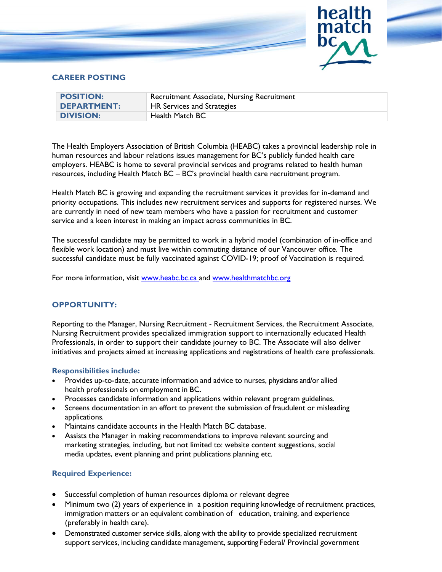

# **CAREER POSTING**

| <b>POSITION:</b>   | Recruitment Associate, Nursing Recruitment |
|--------------------|--------------------------------------------|
| <b>DEPARTMENT:</b> | HR Services and Strategies                 |
| <b>DIVISION:</b>   | Health Match BC                            |

The Health Employers Association of British Columbia (HEABC) takes a provincial leadership role in human resources and labour relations issues management for BC's publicly funded health care employers. HEABC is home to several provincial services and programs related to health human resources, including Health Match BC – BC's provincial health care recruitment program.

Health Match BC is growing and expanding the recruitment services it provides for in-demand and priority occupations. This includes new recruitment services and supports for registered nurses. We are currently in need of new team members who have a passion for recruitment and customer service and a keen interest in making an impact across communities in BC.

The successful candidate may be permitted to work in a hybrid model (combination of in-office and flexible work location) and must live within commuting distance of our Vancouver office. The successful candidate must be fully vaccinated against COVID-19; proof of Vaccination is required.

For more information, visit [www.heabc.bc.ca](http://www.heabc.bc.ca/) and [www.healthmatchbc.org](http://www.healthmatchbc.org/)

### **OPPORTUNITY:**

Reporting to the Manager, Nursing Recruitment - Recruitment Services, the Recruitment Associate, Nursing Recruitment provides specialized immigration support to internationally educated Health Professionals, in order to support their candidate journey to BC. The Associate will also deliver initiatives and projects aimed at increasing applications and registrations of health care professionals.

#### **Responsibilities include:**

- Provides up-to-date, accurate information and advice to nurses, physicians and/or allied health professionals on employment in BC.
- Processes candidate information and applications within relevant program guidelines.
- Screens documentation in an effort to prevent the submission of fraudulent or misleading applications.
- Maintains candidate accounts in the Health Match BC database.
- Assists the Manager in making recommendations to improve relevant sourcing and marketing strategies, including, but not limited to: website content suggestions, social media updates, event planning and print publications planning etc.

## **Required Experience:**

- Successful completion of human resources diploma or relevant degree
- Minimum two (2) years of experience in a position requiring knowledge of recruitment practices, immigration matters or an equivalent combination of education, training, and experience (preferably in health care).
- Demonstrated customer service skills, along with the ability to provide specialized recruitment support services, including candidate management, supporting Federal/ Provincial government